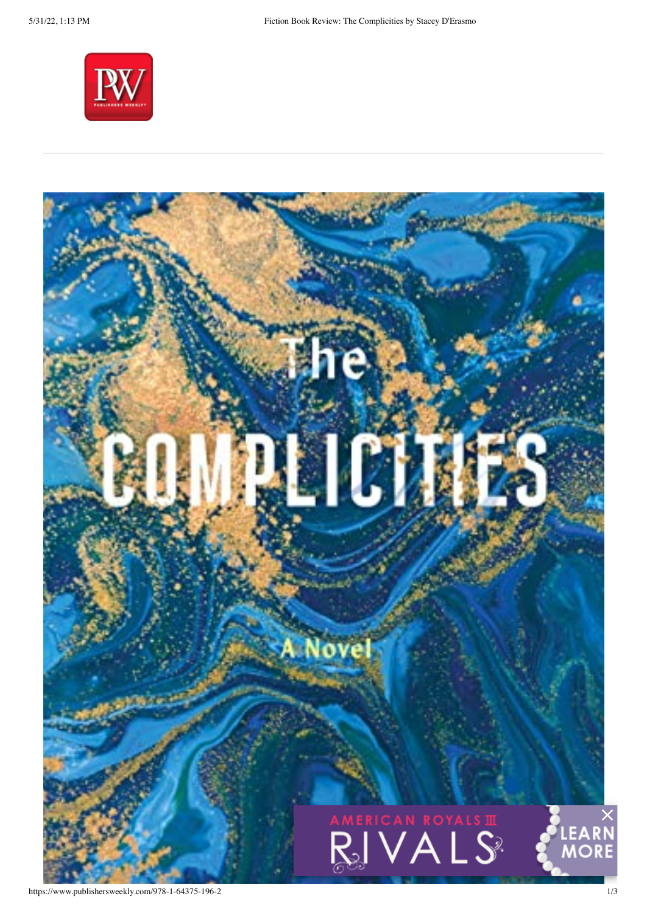